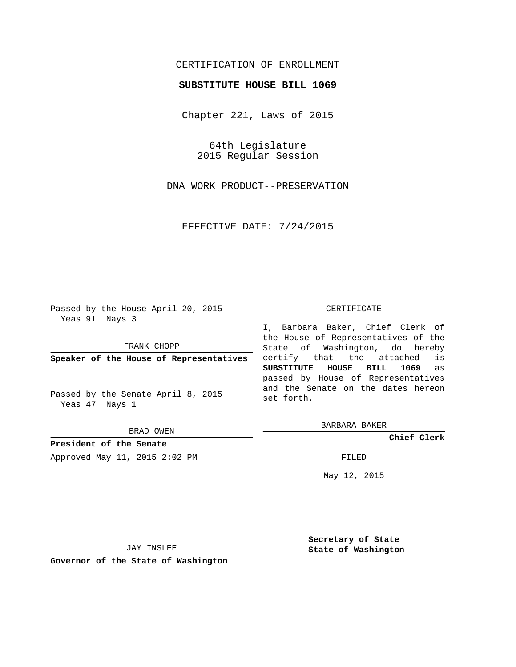# CERTIFICATION OF ENROLLMENT

## **SUBSTITUTE HOUSE BILL 1069**

Chapter 221, Laws of 2015

64th Legislature 2015 Regular Session

DNA WORK PRODUCT--PRESERVATION

EFFECTIVE DATE: 7/24/2015

Passed by the House April 20, 2015 Yeas 91 Nays 3

FRANK CHOPP

**Speaker of the House of Representatives**

Passed by the Senate April 8, 2015 Yeas 47 Nays 1

BRAD OWEN

**President of the Senate** Approved May 11, 2015 2:02 PM FILED

#### CERTIFICATE

I, Barbara Baker, Chief Clerk of the House of Representatives of the State of Washington, do hereby certify that the attached is **SUBSTITUTE HOUSE BILL 1069** as passed by House of Representatives and the Senate on the dates hereon set forth.

BARBARA BAKER

**Chief Clerk**

May 12, 2015

JAY INSLEE

**Governor of the State of Washington**

**Secretary of State State of Washington**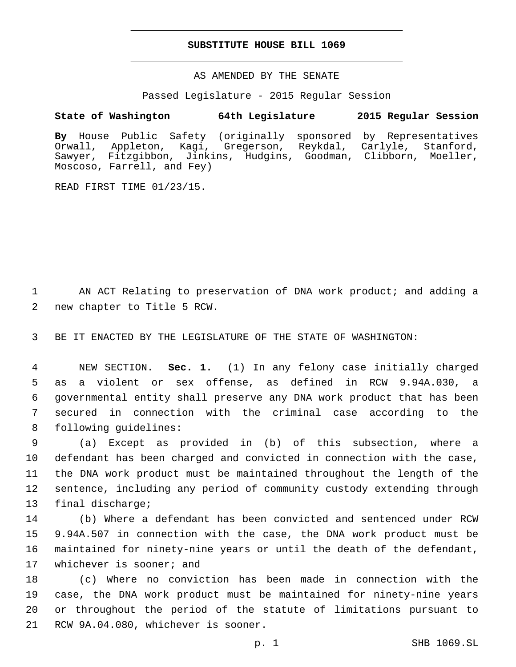### **SUBSTITUTE HOUSE BILL 1069**

AS AMENDED BY THE SENATE

Passed Legislature - 2015 Regular Session

## **State of Washington 64th Legislature 2015 Regular Session**

**By** House Public Safety (originally sponsored by Representatives Orwall, Appleton, Kagi, Gregerson, Reykdal, Carlyle, Stanford, Sawyer, Fitzgibbon, Jinkins, Hudgins, Goodman, Clibborn, Moeller, Moscoso, Farrell, and Fey)

READ FIRST TIME 01/23/15.

1 AN ACT Relating to preservation of DNA work product; and adding a 2 new chapter to Title 5 RCW.

3 BE IT ENACTED BY THE LEGISLATURE OF THE STATE OF WASHINGTON:

 NEW SECTION. **Sec. 1.** (1) In any felony case initially charged as a violent or sex offense, as defined in RCW 9.94A.030, a governmental entity shall preserve any DNA work product that has been secured in connection with the criminal case according to the following guidelines:

 (a) Except as provided in (b) of this subsection, where a defendant has been charged and convicted in connection with the case, the DNA work product must be maintained throughout the length of the sentence, including any period of community custody extending through 13 final discharge;

 (b) Where a defendant has been convicted and sentenced under RCW 9.94A.507 in connection with the case, the DNA work product must be maintained for ninety-nine years or until the death of the defendant, 17 whichever is sooner; and

 (c) Where no conviction has been made in connection with the case, the DNA work product must be maintained for ninety-nine years or throughout the period of the statute of limitations pursuant to 21 RCW 9A.04.080, whichever is sooner.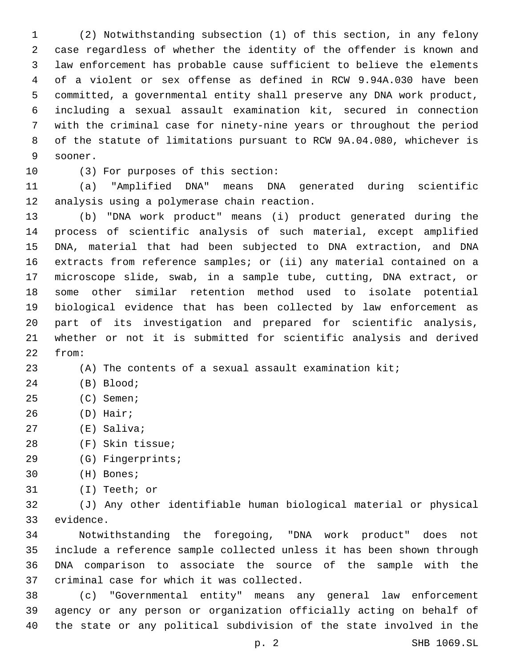(2) Notwithstanding subsection (1) of this section, in any felony case regardless of whether the identity of the offender is known and law enforcement has probable cause sufficient to believe the elements of a violent or sex offense as defined in RCW 9.94A.030 have been committed, a governmental entity shall preserve any DNA work product, including a sexual assault examination kit, secured in connection with the criminal case for ninety-nine years or throughout the period of the statute of limitations pursuant to RCW 9A.04.080, whichever is 9 sooner.

10 (3) For purposes of this section:

 (a) "Amplified DNA" means DNA generated during scientific 12 analysis using a polymerase chain reaction.

 (b) "DNA work product" means (i) product generated during the process of scientific analysis of such material, except amplified DNA, material that had been subjected to DNA extraction, and DNA extracts from reference samples; or (ii) any material contained on a microscope slide, swab, in a sample tube, cutting, DNA extract, or some other similar retention method used to isolate potential biological evidence that has been collected by law enforcement as part of its investigation and prepared for scientific analysis, whether or not it is submitted for scientific analysis and derived 22 from:

(A) The contents of a sexual assault examination kit;

- 24 (B) Blood;
- 25 (C) Semen;
- (D) Hair;
- 27 (E) Saliva;
- (F) Skin tissue;28
- 29 (G) Fingerprints;
- 30 (H) Bones;
- 31 (I) Teeth; or

 (J) Any other identifiable human biological material or physical 33 evidence.

 Notwithstanding the foregoing, "DNA work product" does not include a reference sample collected unless it has been shown through DNA comparison to associate the source of the sample with the 37 criminal case for which it was collected.

 (c) "Governmental entity" means any general law enforcement agency or any person or organization officially acting on behalf of the state or any political subdivision of the state involved in the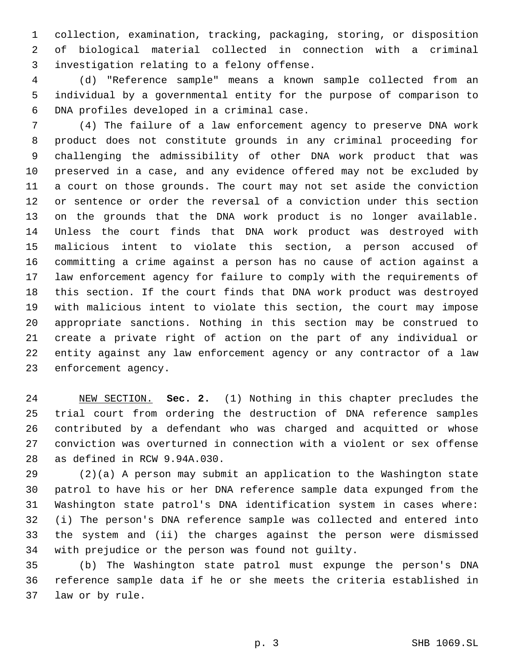collection, examination, tracking, packaging, storing, or disposition of biological material collected in connection with a criminal 3 investigation relating to a felony offense.

 (d) "Reference sample" means a known sample collected from an individual by a governmental entity for the purpose of comparison to 6 DNA profiles developed in a criminal case.

 (4) The failure of a law enforcement agency to preserve DNA work product does not constitute grounds in any criminal proceeding for challenging the admissibility of other DNA work product that was preserved in a case, and any evidence offered may not be excluded by a court on those grounds. The court may not set aside the conviction or sentence or order the reversal of a conviction under this section on the grounds that the DNA work product is no longer available. Unless the court finds that DNA work product was destroyed with malicious intent to violate this section, a person accused of committing a crime against a person has no cause of action against a law enforcement agency for failure to comply with the requirements of this section. If the court finds that DNA work product was destroyed with malicious intent to violate this section, the court may impose appropriate sanctions. Nothing in this section may be construed to create a private right of action on the part of any individual or entity against any law enforcement agency or any contractor of a law 23 enforcement agency.

 NEW SECTION. **Sec. 2.** (1) Nothing in this chapter precludes the trial court from ordering the destruction of DNA reference samples contributed by a defendant who was charged and acquitted or whose conviction was overturned in connection with a violent or sex offense as defined in RCW 9.94A.030.

 (2)(a) A person may submit an application to the Washington state patrol to have his or her DNA reference sample data expunged from the Washington state patrol's DNA identification system in cases where: (i) The person's DNA reference sample was collected and entered into the system and (ii) the charges against the person were dismissed with prejudice or the person was found not guilty.

 (b) The Washington state patrol must expunge the person's DNA reference sample data if he or she meets the criteria established in 37 law or by rule.